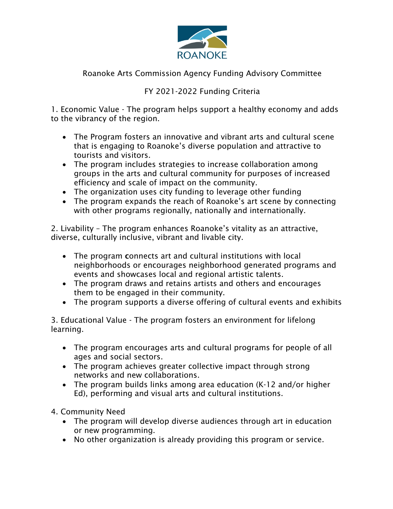

## Roanoke Arts Commission Agency Funding Advisory Committee

## FY 2021-2022 Funding Criteria

1. Economic Value - The program helps support a healthy economy and adds to the vibrancy of the region.

- The Program fosters an innovative and vibrant arts and cultural scene that is engaging to Roanoke's diverse population and attractive to tourists and visitors.
- The program includes strategies to increase collaboration among groups in the arts and cultural community for purposes of increased efficiency and scale of impact on the community.
- The organization uses city funding to leverage other funding
- The program expands the reach of Roanoke's art scene by connecting with other programs regionally, nationally and internationally.

2. Livability – The program enhances Roanoke's vitality as an attractive, diverse, culturally inclusive, vibrant and livable city.

- The program connects art and cultural institutions with local neighborhoods or encourages neighborhood generated programs and events and showcases local and regional artistic talents.
- The program draws and retains artists and others and encourages them to be engaged in their community.
- The program supports a diverse offering of cultural events and exhibits

3. Educational Value - The program fosters an environment for lifelong learning.

- The program encourages arts and cultural programs for people of all ages and social sectors.
- The program achieves greater collective impact through strong networks and new collaborations.
- The program builds links among area education (K-12 and/or higher Ed), performing and visual arts and cultural institutions.

4. Community Need

- The program will develop diverse audiences through art in education or new programming.
- No other organization is already providing this program or service.